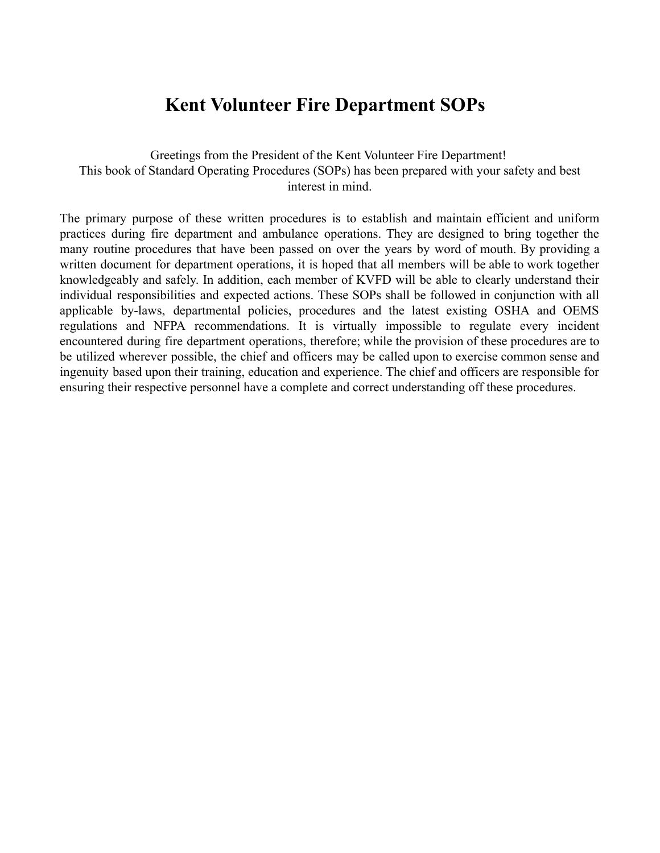## **Kent Volunteer Fire Department SOPs**

## Greetings from the President of the Kent Volunteer Fire Department! This book of Standard Operating Procedures (SOPs) has been prepared with your safety and best interest in mind.

The primary purpose of these written procedures is to establish and maintain efficient and uniform practices during fire department and ambulance operations. They are designed to bring together the many routine procedures that have been passed on over the years by word of mouth. By providing a written document for department operations, it is hoped that all members will be able to work together knowledgeably and safely. In addition, each member of KVFD will be able to clearly understand their individual responsibilities and expected actions. These SOPs shall be followed in conjunction with all applicable by-laws, departmental policies, procedures and the latest existing OSHA and OEMS regulations and NFPA recommendations. It is virtually impossible to regulate every incident encountered during fire department operations, therefore; while the provision of these procedures are to be utilized wherever possible, the chief and officers may be called upon to exercise common sense and ingenuity based upon their training, education and experience. The chief and officers are responsible for ensuring their respective personnel have a complete and correct understanding off these procedures.